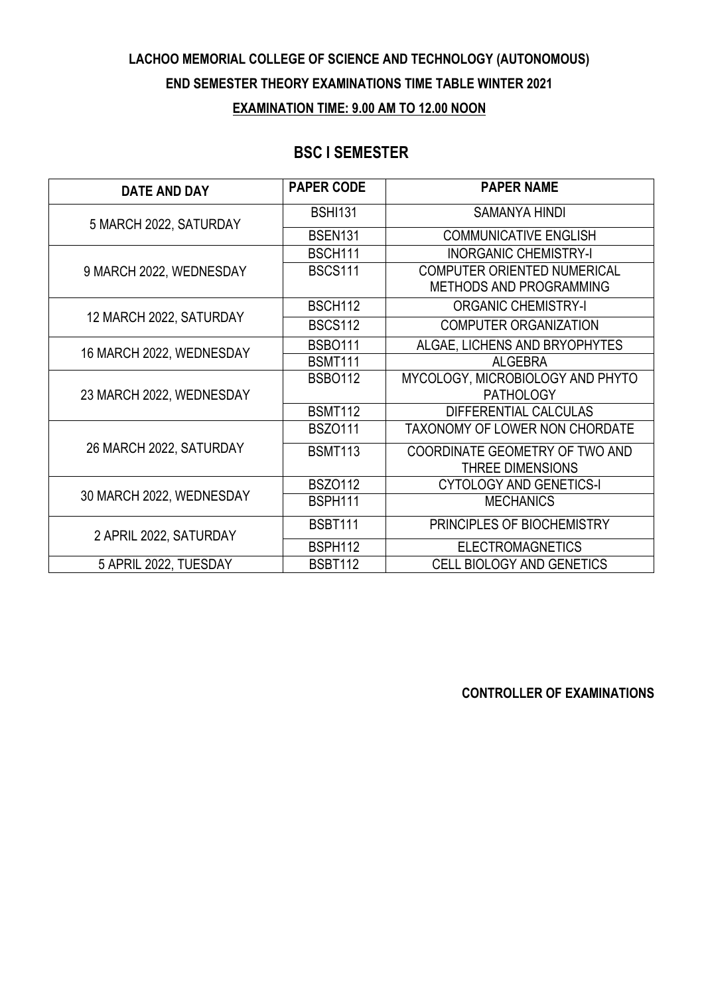## **LACHOO MEMORIAL COLLEGE OF SCIENCE AND TECHNOLOGY (AUTONOMOUS) END SEMESTER THEORY EXAMINATIONS TIME TABLE WINTER 2021 EXAMINATION TIME: 9.00 AM TO 12.00 NOON**

### **BSC I SEMESTER**

| <b>DATE AND DAY</b>      | <b>PAPER CODE</b> | <b>PAPER NAME</b>                     |
|--------------------------|-------------------|---------------------------------------|
| 5 MARCH 2022, SATURDAY   | <b>BSHI131</b>    | <b>SAMANYA HINDI</b>                  |
|                          | <b>BSEN131</b>    | <b>COMMUNICATIVE ENGLISH</b>          |
| 9 MARCH 2022, WEDNESDAY  | <b>BSCH111</b>    | <b>INORGANIC CHEMISTRY-I</b>          |
|                          | <b>BSCS111</b>    | <b>COMPUTER ORIENTED NUMERICAL</b>    |
|                          |                   | METHODS AND PROGRAMMING               |
| 12 MARCH 2022, SATURDAY  | <b>BSCH112</b>    | <b>ORGANIC CHEMISTRY-I</b>            |
|                          | <b>BSCS112</b>    | <b>COMPUTER ORGANIZATION</b>          |
| 16 MARCH 2022, WEDNESDAY | <b>BSBO111</b>    | ALGAE, LICHENS AND BRYOPHYTES         |
|                          | <b>BSMT111</b>    | <b>ALGEBRA</b>                        |
| 23 MARCH 2022, WEDNESDAY | <b>BSBO112</b>    | MYCOLOGY, MICROBIOLOGY AND PHYTO      |
|                          |                   | <b>PATHOLOGY</b>                      |
|                          | <b>BSMT112</b>    | DIFFERENTIAL CALCULAS                 |
| 26 MARCH 2022, SATURDAY  | <b>BSZ0111</b>    | <b>TAXONOMY OF LOWER NON CHORDATE</b> |
|                          | <b>BSMT113</b>    | COORDINATE GEOMETRY OF TWO AND        |
|                          |                   | <b>THREE DIMENSIONS</b>               |
| 30 MARCH 2022, WEDNESDAY | <b>BSZ0112</b>    | <b>CYTOLOGY AND GENETICS-I</b>        |
|                          | <b>BSPH111</b>    | <b>MECHANICS</b>                      |
| 2 APRIL 2022, SATURDAY   | <b>BSBT111</b>    | PRINCIPLES OF BIOCHEMISTRY            |
|                          | <b>BSPH112</b>    | <b>ELECTROMAGNETICS</b>               |
| 5 APRIL 2022, TUESDAY    | <b>BSBT112</b>    | CELL BIOLOGY AND GENETICS             |

**CONTROLLER OF EXAMINATIONS**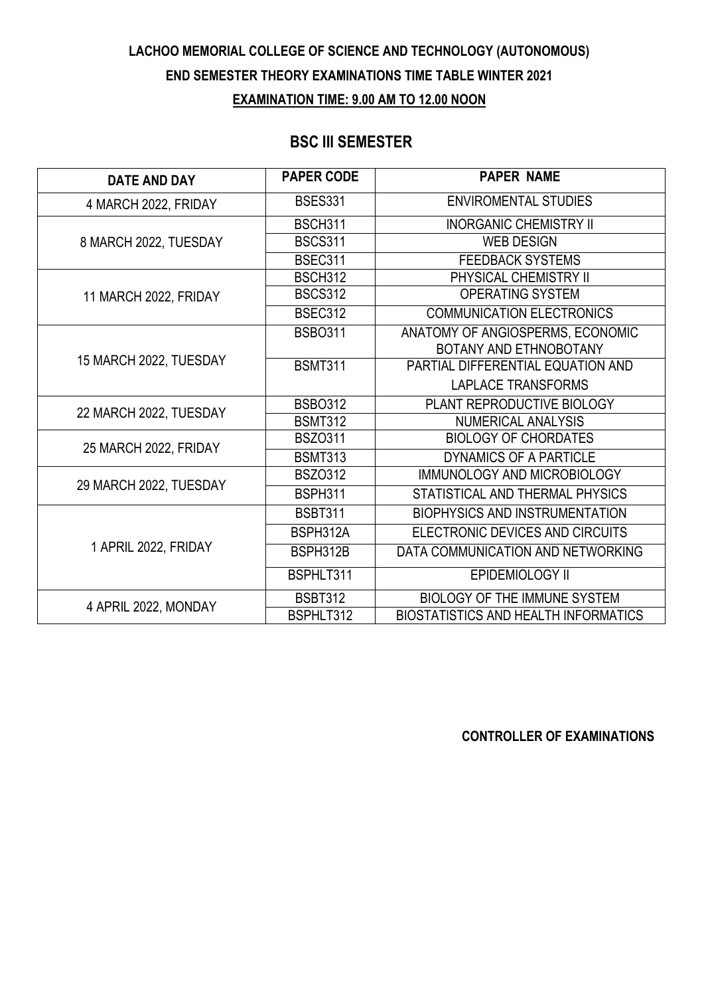### **LACHOO MEMORIAL COLLEGE OF SCIENCE AND TECHNOLOGY (AUTONOMOUS) END SEMESTER THEORY EXAMINATIONS TIME TABLE WINTER 2021 EXAMINATION TIME: 9.00 AM TO 12.00 NOON**

#### **BSC III SEMESTER**

| <b>DATE AND DAY</b>    | <b>PAPER CODE</b> | <b>PAPER NAME</b>                           |
|------------------------|-------------------|---------------------------------------------|
| 4 MARCH 2022, FRIDAY   | <b>BSES331</b>    | <b>ENVIROMENTAL STUDIES</b>                 |
| 8 MARCH 2022, TUESDAY  | <b>BSCH311</b>    | <b>INORGANIC CHEMISTRY II</b>               |
|                        | <b>BSCS311</b>    | <b>WEB DESIGN</b>                           |
|                        | <b>BSEC311</b>    | <b>FEEDBACK SYSTEMS</b>                     |
| 11 MARCH 2022, FRIDAY  | <b>BSCH312</b>    | PHYSICAL CHEMISTRY II                       |
|                        | <b>BSCS312</b>    | <b>OPERATING SYSTEM</b>                     |
|                        | <b>BSEC312</b>    | <b>COMMUNICATION ELECTRONICS</b>            |
|                        | <b>BSBO311</b>    | ANATOMY OF ANGIOSPERMS, ECONOMIC            |
|                        |                   | BOTANY AND ETHNOBOTANY                      |
| 15 MARCH 2022, TUESDAY | <b>BSMT311</b>    | PARTIAL DIFFERENTIAL EQUATION AND           |
|                        |                   | <b>LAPLACE TRANSFORMS</b>                   |
| 22 MARCH 2022, TUESDAY | <b>BSB0312</b>    | PLANT REPRODUCTIVE BIOLOGY                  |
|                        | <b>BSMT312</b>    | <b>NUMERICAL ANALYSIS</b>                   |
| 25 MARCH 2022, FRIDAY  | <b>BSZ0311</b>    | <b>BIOLOGY OF CHORDATES</b>                 |
|                        | <b>BSMT313</b>    | DYNAMICS OF A PARTICLE                      |
| 29 MARCH 2022, TUESDAY | <b>BSZ0312</b>    | IMMUNOLOGY AND MICROBIOLOGY                 |
|                        | <b>BSPH311</b>    | STATISTICAL AND THERMAL PHYSICS             |
| 1 APRIL 2022, FRIDAY   | <b>BSBT311</b>    | <b>BIOPHYSICS AND INSTRUMENTATION</b>       |
|                        | BSPH312A          | ELECTRONIC DEVICES AND CIRCUITS             |
|                        | BSPH312B          | DATA COMMUNICATION AND NETWORKING           |
|                        | BSPHLT311         | EPIDEMIOLOGY II                             |
| 4 APRIL 2022, MONDAY   | <b>BSBT312</b>    | <b>BIOLOGY OF THE IMMUNE SYSTEM</b>         |
|                        | BSPHLT312         | <b>BIOSTATISTICS AND HEALTH INFORMATICS</b> |

**CONTROLLER OF EXAMINATIONS**